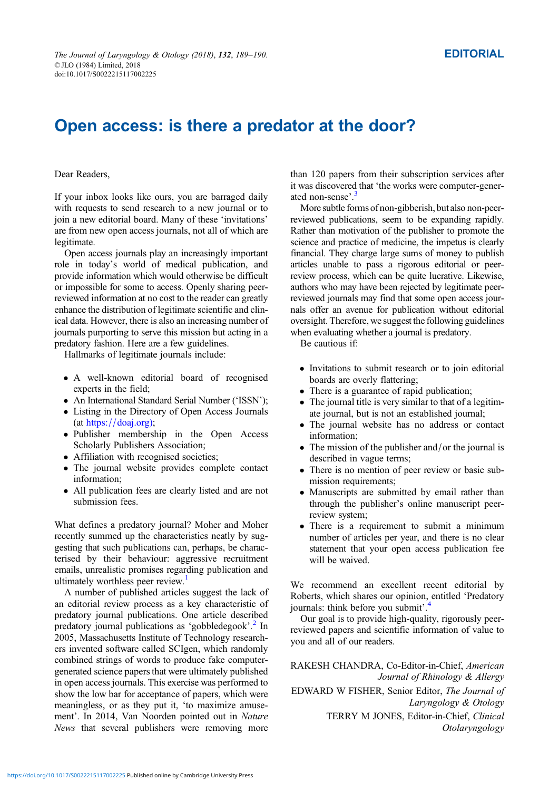## Open access: is there a predator at the door?

## Dear Readers,

If your inbox looks like ours, you are barraged daily with requests to send research to a new journal or to join a new editorial board. Many of these 'invitations' are from new open access journals, not all of which are legitimate.

Open access journals play an increasingly important role in today's world of medical publication, and provide information which would otherwise be difficult or impossible for some to access. Openly sharing peerreviewed information at no cost to the reader can greatly enhance the distribution of legitimate scientific and clinical data. However, there is also an increasing number of journals purporting to serve this mission but acting in a predatory fashion. Here are a few guidelines.

Hallmarks of legitimate journals include:

- A well-known editorial board of recognised experts in the field;
- An International Standard Serial Number ('ISSN');
- Listing in the Directory of Open Access Journals (at [https:](https://doaj.org))//[doaj.org\);](https://doaj.org))
- Publisher membership in the Open Access Scholarly Publishers Association;
- Affiliation with recognised societies;
- The journal website provides complete contact information;
- All publication fees are clearly listed and are not submission fees.

What defines a predatory journal? Moher and Moher recently summed up the characteristics neatly by suggesting that such publications can, perhaps, be characterised by their behaviour: aggressive recruitment emails, unrealistic promises regarding publication and ultimately worthless peer review.<sup>[1](#page-1-0)</sup>

A number of published articles suggest the lack of an editorial review process as a key characteristic of predatory journal publications. One article described predatory journal publications as 'gobbledegook'. [2](#page-1-0) In 2005, Massachusetts Institute of Technology researchers invented software called SCIgen, which randomly combined strings of words to produce fake computergenerated science papers that were ultimately published in open access journals. This exercise was performed to show the low bar for acceptance of papers, which were meaningless, or as they put it, 'to maximize amusement'. In 2014, Van Noorden pointed out in Nature News that several publishers were removing more

than 120 papers from their subscription services after it was discovered that 'the works were computer-generated non-sense'. [3](#page-1-0)

More subtle forms of non-gibberish, but also non-peerreviewed publications, seem to be expanding rapidly. Rather than motivation of the publisher to promote the science and practice of medicine, the impetus is clearly financial. They charge large sums of money to publish articles unable to pass a rigorous editorial or peerreview process, which can be quite lucrative. Likewise, authors who may have been rejected by legitimate peerreviewed journals may find that some open access journals offer an avenue for publication without editorial oversight. Therefore, we suggest the following guidelines when evaluating whether a journal is predatory.

Be cautious if:

- Invitations to submit research or to join editorial boards are overly flattering;
- There is a guarantee of rapid publication;
- The journal title is very similar to that of a legitimate journal, but is not an established journal;
- The journal website has no address or contact information;
- The mission of the publisher and/or the journal is described in vague terms;
- There is no mention of peer review or basic submission requirements;
- Manuscripts are submitted by email rather than through the publisher's online manuscript peerreview system;
- There is a requirement to submit a minimum number of articles per year, and there is no clear statement that your open access publication fee will be waived.

We recommend an excellent recent editorial by Roberts, which shares our opinion, entitled 'Predatory journals: think before you submit'.<sup>[4](#page-1-0)</sup>

Our goal is to provide high-quality, rigorously peerreviewed papers and scientific information of value to you and all of our readers.

RAKESH CHANDRA, Co-Editor-in-Chief, American Journal of Rhinology & Allergy EDWARD W FISHER, Senior Editor, The Journal of Laryngology & Otology TERRY M JONES, Editor-in-Chief, Clinical

Otolaryngology